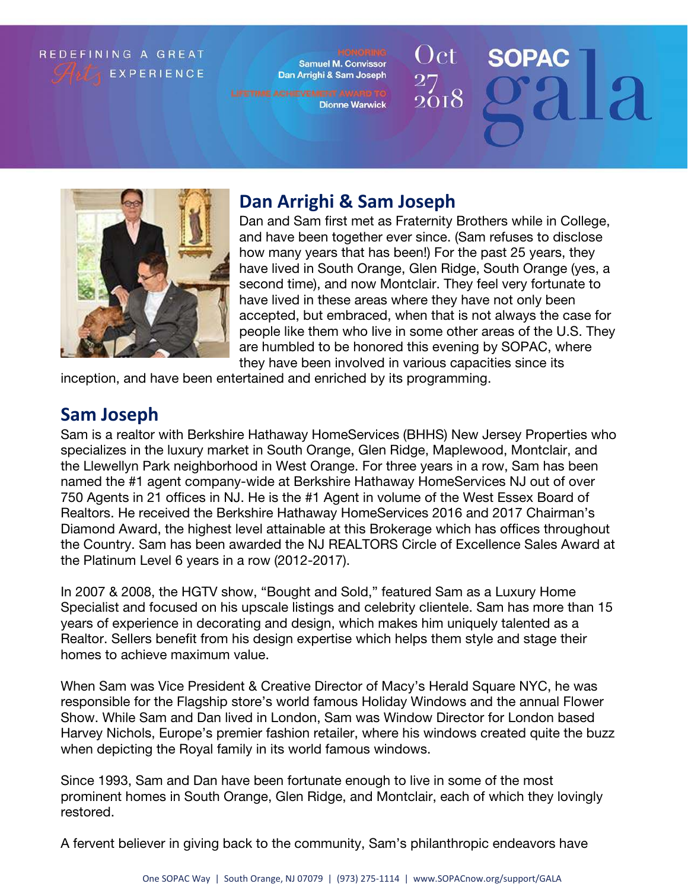### REDEFINING A GREAT **EXPERIENCE**

Samuel M. Convissor Dan Arrighi & Sam Joseph

**Dionne Warwick** 

Oct **SOPAC** 



# **Dan Arrighi & Sam Joseph**

Dan and Sam first met as Fraternity Brothers while in College, and have been together ever since. (Sam refuses to disclose how many years that has been!) For the past 25 years, they have lived in South Orange, Glen Ridge, South Orange (yes, a second time), and now Montclair. They feel very fortunate to have lived in these areas where they have not only been accepted, but embraced, when that is not always the case for people like them who live in some other areas of the U.S. They are humbled to be honored this evening by SOPAC, where they have been involved in various capacities since its

inception, and have been entertained and enriched by its programming.

## **Sam Joseph**

Sam is a realtor with Berkshire Hathaway HomeServices (BHHS) New Jersey Properties who specializes in the luxury market in South Orange, Glen Ridge, Maplewood, Montclair, and the Llewellyn Park neighborhood in West Orange. For three years in a row, Sam has been named the #1 agent company-wide at Berkshire Hathaway HomeServices NJ out of over 750 Agents in 21 offices in NJ. He is the #1 Agent in volume of the West Essex Board of Realtors. He received the Berkshire Hathaway HomeServices 2016 and 2017 Chairman's Diamond Award, the highest level attainable at this Brokerage which has offices throughout the Country. Sam has been awarded the NJ REALTORS Circle of Excellence Sales Award at the Platinum Level 6 years in a row (2012-2017).

In 2007 & 2008, the HGTV show, "Bought and Sold," featured Sam as a Luxury Home Specialist and focused on his upscale listings and celebrity clientele. Sam has more than 15 years of experience in decorating and design, which makes him uniquely talented as a Realtor. Sellers benefit from his design expertise which helps them style and stage their homes to achieve maximum value.

When Sam was Vice President & Creative Director of Macy's Herald Square NYC, he was responsible for the Flagship store's world famous Holiday Windows and the annual Flower Show. While Sam and Dan lived in London, Sam was Window Director for London based Harvey Nichols, Europe's premier fashion retailer, where his windows created quite the buzz when depicting the Royal family in its world famous windows.

Since 1993, Sam and Dan have been fortunate enough to live in some of the most prominent homes in South Orange, Glen Ridge, and Montclair, each of which they lovingly restored.

A fervent believer in giving back to the community, Sam's philanthropic endeavors have